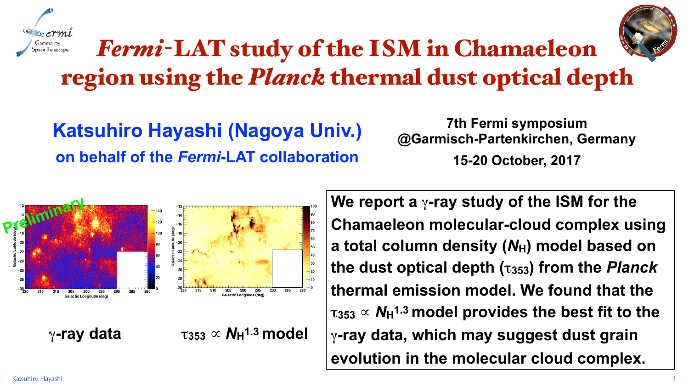Katsuhiro Hayashi 1





# *Fermi*-LAT study of the ISM in Chamaeleon region using the *Planck* thermal dust optical depth

### **Katsuhiro Hayashi (Nagoya Univ.) on behalf of the** *Fermi***-LAT collaboration**

**7th Fermi symposium @Garmisch-Partenkirchen, Germany 15-20 October, 2017**

**We report a** γ**-ray study of the ISM for the Chamaeleon molecular-cloud complex using**  a total column density ( $N_H$ ) model based on **the dust optical depth (**τ**353) from the** *Planck* **thermal emission model. We found that the**   $\tau_{353} \propto N_H$ <sup>1.3</sup> model provides the best fit to the γ**-ray data, which may suggest dust grain evolution in the molecular cloud complex.**





 $\gamma$ **-ray data**  $\tau_{353} \propto N_H^{1.3}$  model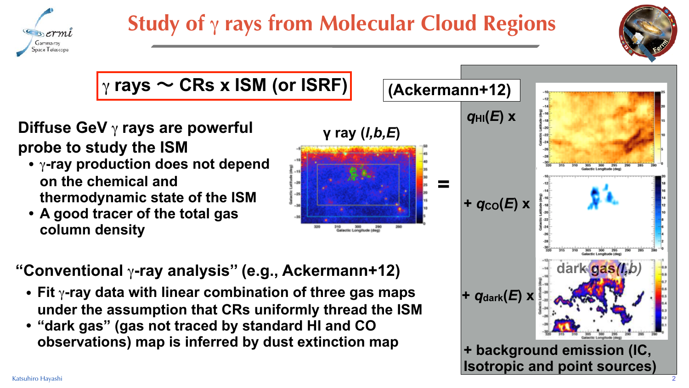# **Study of** γ **rays from Molecular Cloud Regions**





#### **Diffuse GeV** γ **rays are powerful probe to study the ISM**

- **•** γ**-ray production does not depend on the chemical and thermodynamic state of the ISM**
- **• A good tracer of the total gas column density**

**"Conventional** γ**-ray analysis'' (e.g., Ackermann+12)** 

- **• Fit** γ**-ray data with linear combination of three gas maps under the assumption that CRs uniformly thread the ISM**
- **• "dark gas" (gas not traced by standard HI and CO observations) map is inferred by dust extinction map**



### γ **rays** ~ **CRs x ISM (or ISRF)**

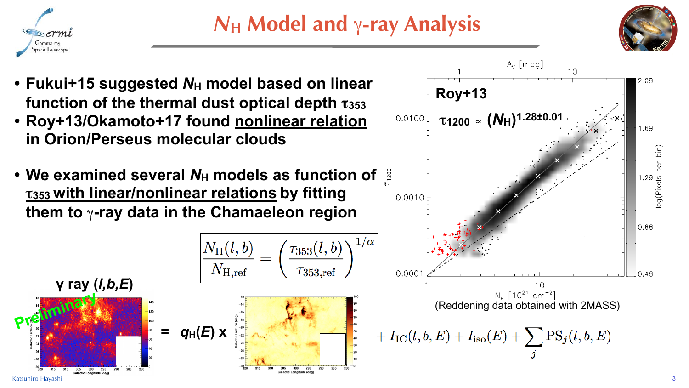

## *N***H Model and** γ**-ray Analysis**





- 
- **in Orion/Perseus molecular clouds**
-